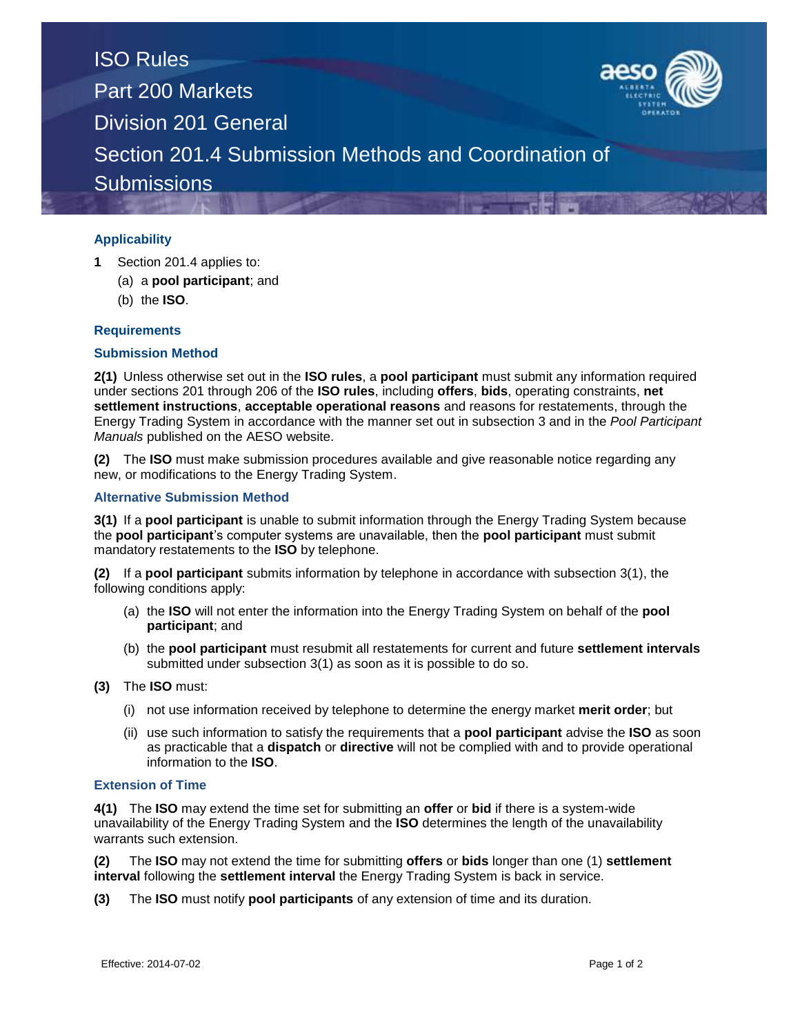

# **Applicability**

- **1** Section 201.4 applies to:
	- (a) a **pool participant**; and
	- (b) the **ISO**.

## **Requirements**

#### **Submission Method**

**2(1)** Unless otherwise set out in the **ISO rules**, a **pool participant** must submit any information required under sections 201 through 206 of the **ISO rules**, including **offers**, **bids**, operating constraints, **net settlement instructions**, **acceptable operational reasons** and reasons for restatements, through the Energy Trading System in accordance with the manner set out in subsection 3 and in the *Pool Participant Manuals* published on the AESO website.

**(2)** The **ISO** must make submission procedures available and give reasonable notice regarding any new, or modifications to the Energy Trading System.

#### **Alternative Submission Method**

**3(1)** If a **pool participant** is unable to submit information through the Energy Trading System because the **pool participant**'s computer systems are unavailable, then the **pool participant** must submit mandatory restatements to the **ISO** by telephone.

**(2)** If a **pool participant** submits information by telephone in accordance with subsection 3(1), the following conditions apply:

- (a) the **ISO** will not enter the information into the Energy Trading System on behalf of the **pool participant**; and
- (b) the **pool participant** must resubmit all restatements for current and future **settlement intervals** submitted under subsection 3(1) as soon as it is possible to do so.
- **(3)** The **ISO** must:
	- (i) not use information received by telephone to determine the energy market **merit order**; but
	- (ii) use such information to satisfy the requirements that a **pool participant** advise the **ISO** as soon as practicable that a **dispatch** or **directive** will not be complied with and to provide operational information to the **ISO**.

## **Extension of Time**

**4(1)** The **ISO** may extend the time set for submitting an **offer** or **bid** if there is a system-wide unavailability of the Energy Trading System and the **ISO** determines the length of the unavailability warrants such extension.

**(2)** The **ISO** may not extend the time for submitting **offers** or **bids** longer than one (1) **settlement interval** following the **settlement interval** the Energy Trading System is back in service.

**(3)** The **ISO** must notify **pool participants** of any extension of time and its duration.